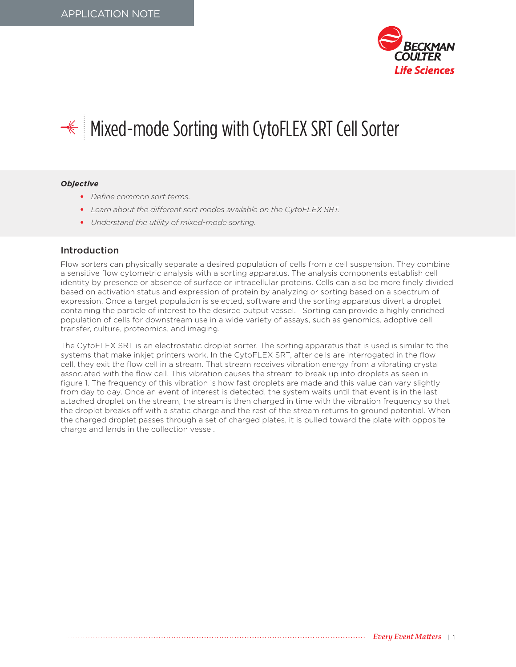

# <del></del> <del></del> Mixed-mode Sorting with CytoFLEX SRT Cell Sorter

#### *Objective*

- *Define common sort terms.*
- *Learn about the different sort modes available on the CytoFLEX SRT.*
- *Understand the utility of mixed-mode sorting.*

#### Introduction

Flow sorters can physically separate a desired population of cells from a cell suspension. They combine a sensitive flow cytometric analysis with a sorting apparatus. The analysis components establish cell identity by presence or absence of surface or intracellular proteins. Cells can also be more finely divided based on activation status and expression of protein by analyzing or sorting based on a spectrum of expression. Once a target population is selected, software and the sorting apparatus divert a droplet containing the particle of interest to the desired output vessel. Sorting can provide a highly enriched population of cells for downstream use in a wide variety of assays, such as genomics, adoptive cell transfer, culture, proteomics, and imaging.

The CytoFLEX SRT is an electrostatic droplet sorter. The sorting apparatus that is used is similar to the systems that make inkjet printers work. In the CytoFLEX SRT, after cells are interrogated in the flow cell, they exit the flow cell in a stream. That stream receives vibration energy from a vibrating crystal associated with the flow cell. This vibration causes the stream to break up into droplets as seen in figure 1. The frequency of this vibration is how fast droplets are made and this value can vary slightly from day to day. Once an event of interest is detected, the system waits until that event is in the last attached droplet on the stream, the stream is then charged in time with the vibration frequency so that the droplet breaks off with a static charge and the rest of the stream returns to ground potential. When the charged droplet passes through a set of charged plates, it is pulled toward the plate with opposite charge and lands in the collection vessel.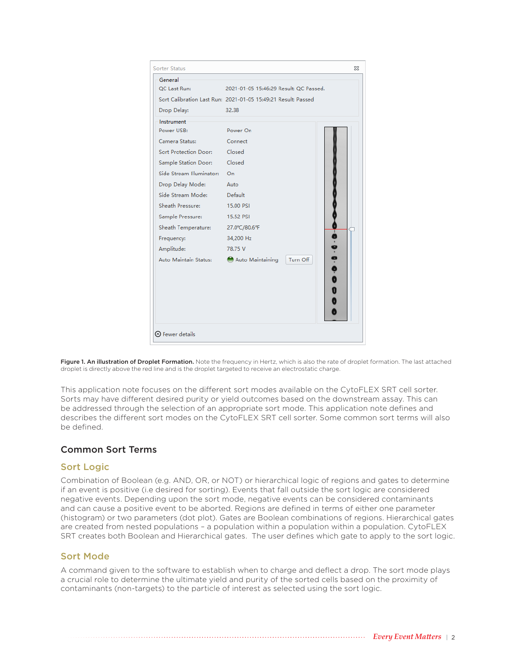| Sorter Status            |                                                               | ΣŜ |
|--------------------------|---------------------------------------------------------------|----|
| General                  |                                                               |    |
| OC Last Run:             | 2021-01-05 15:46:29 Result: OC Passed.                        |    |
|                          | Sort Calibration Last Run: 2021-01-05 15:49:21 Result: Passed |    |
| Drop Delay:              | 32.38                                                         |    |
| Instrument               |                                                               |    |
| Power USB:               | Power On                                                      |    |
| Camera Status:           | Connect                                                       |    |
| Sort Protection Door:    | Closed                                                        |    |
| Sample Station Door:     | Closed                                                        |    |
| Side Stream Illuminator: | On                                                            |    |
| Drop Delay Mode:         | Auto                                                          |    |
| Side Stream Mode:        | Default                                                       |    |
| Sheath Pressure:         | 15.00 PSI                                                     |    |
| Sample Pressure:         | 15.52 PSI                                                     |    |
| Sheath Temperature:      | 27.0°C/80.6°F                                                 |    |
| Frequency:               | 34,200 Hz                                                     |    |
| Amplitude:               | 78.75 V                                                       |    |
| Auto Maintain Status:    | $-0.0.0$<br>Turn Off<br>Auto Maintaining                      |    |
|                          |                                                               |    |
|                          |                                                               |    |
|                          |                                                               |    |
|                          |                                                               |    |
|                          |                                                               |    |
|                          |                                                               |    |
| ⊙ Fewer details          |                                                               |    |

Figure 1. An illustration of Droplet Formation. Note the frequency in Hertz, which is also the rate of droplet formation. The last attached droplet is directly above the red line and is the droplet targeted to receive an electrostatic charge.

This application note focuses on the different sort modes available on the CytoFLEX SRT cell sorter. Sorts may have different desired purity or yield outcomes based on the downstream assay. This can be addressed through the selection of an appropriate sort mode. This application note defines and describes the different sort modes on the CytoFLEX SRT cell sorter. Some common sort terms will also be defined.

# Common Sort Terms

#### Sort Logic

Combination of Boolean (e.g. AND, OR, or NOT) or hierarchical logic of regions and gates to determine if an event is positive (i.e desired for sorting). Events that fall outside the sort logic are considered negative events. Depending upon the sort mode, negative events can be considered contaminants and can cause a positive event to be aborted. Regions are defined in terms of either one parameter (histogram) or two parameters (dot plot). Gates are Boolean combinations of regions. Hierarchical gates are created from nested populations – a population within a population within a population. CytoFLEX SRT creates both Boolean and Hierarchical gates. The user defines which gate to apply to the sort logic.

## Sort Mode

A command given to the software to establish when to charge and deflect a drop. The sort mode plays a crucial role to determine the ultimate yield and purity of the sorted cells based on the proximity of contaminants (non-targets) to the particle of interest as selected using the sort logic.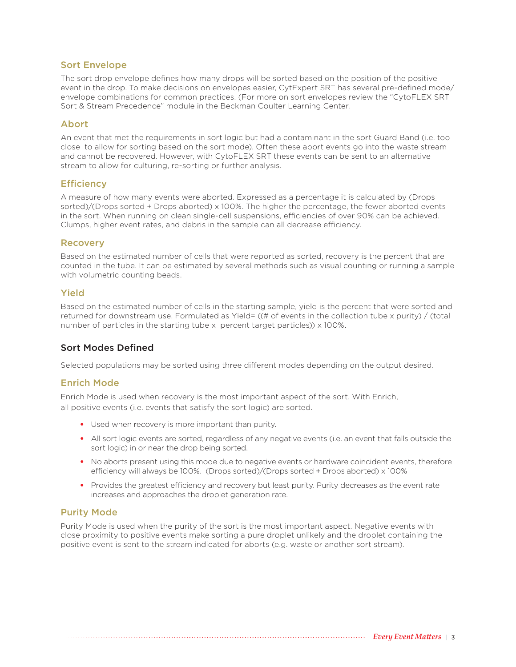## Sort Envelope

The sort drop envelope defines how many drops will be sorted based on the position of the positive event in the drop. To make decisions on envelopes easier, CytExpert SRT has several pre-defined mode/ envelope combinations for common practices. (For more on sort envelopes review the "CytoFLEX SRT Sort & Stream Precedence" module in the Beckman Coulter Learning Center.

## Abort

An event that met the requirements in sort logic but had a contaminant in the sort Guard Band (i.e. too close to allow for sorting based on the sort mode). Often these abort events go into the waste stream and cannot be recovered. However, with CytoFLEX SRT these events can be sent to an alternative stream to allow for culturing, re-sorting or further analysis.

#### **Efficiency**

A measure of how many events were aborted. Expressed as a percentage it is calculated by (Drops sorted)/(Drops sorted + Drops aborted) x 100%. The higher the percentage, the fewer aborted events in the sort. When running on clean single-cell suspensions, efficiencies of over 90% can be achieved. Clumps, higher event rates, and debris in the sample can all decrease efficiency.

#### **Recovery**

Based on the estimated number of cells that were reported as sorted, recovery is the percent that are counted in the tube. It can be estimated by several methods such as visual counting or running a sample with volumetric counting beads.

## Yield

Based on the estimated number of cells in the starting sample, yield is the percent that were sorted and returned for downstream use. Formulated as Yield= ((# of events in the collection tube x purity) / (total number of particles in the starting tube x percent target particles)) x 100%.

## Sort Modes Defined

Selected populations may be sorted using three different modes depending on the output desired.

## Enrich Mode

Enrich Mode is used when recovery is the most important aspect of the sort. With Enrich, all positive events (i.e. events that satisfy the sort logic) are sorted.

- Used when recovery is more important than purity.
- All sort logic events are sorted, regardless of any negative events (i.e. an event that falls outside the sort logic) in or near the drop being sorted.
- No aborts present using this mode due to negative events or hardware coincident events, therefore efficiency will always be 100%. (Drops sorted)/(Drops sorted + Drops aborted) x 100%
- Provides the greatest efficiency and recovery but least purity. Purity decreases as the event rate increases and approaches the droplet generation rate.

## Purity Mode

Purity Mode is used when the purity of the sort is the most important aspect. Negative events with close proximity to positive events make sorting a pure droplet unlikely and the droplet containing the positive event is sent to the stream indicated for aborts (e.g. waste or another sort stream).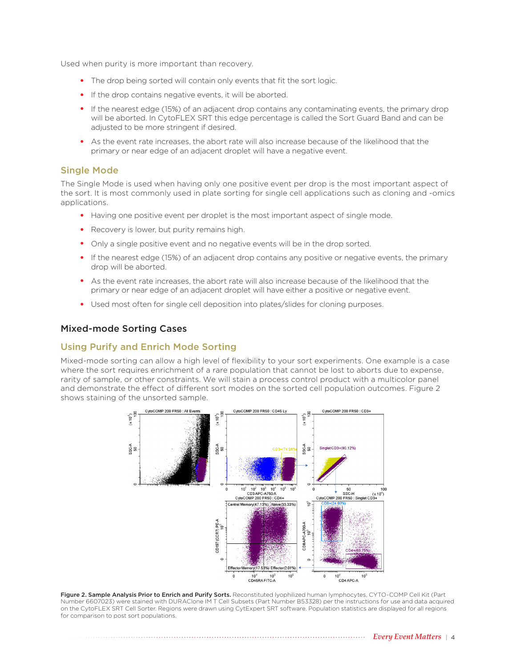Used when purity is more important than recovery.

- The drop being sorted will contain only events that fit the sort logic.
- If the drop contains negative events, it will be aborted.
- If the nearest edge (15%) of an adjacent drop contains any contaminating events, the primary drop will be aborted. In CytoFLEX SRT this edge percentage is called the Sort Guard Band and can be adjusted to be more stringent if desired.
- As the event rate increases, the abort rate will also increase because of the likelihood that the primary or near edge of an adjacent droplet will have a negative event.

#### Single Mode

The Single Mode is used when having only one positive event per drop is the most important aspect of the sort. It is most commonly used in plate sorting for single cell applications such as cloning and -omics applications.

- Having one positive event per droplet is the most important aspect of single mode.
- Recovery is lower, but purity remains high.
- Only a single positive event and no negative events will be in the drop sorted.
- If the nearest edge (15%) of an adjacent drop contains any positive or negative events, the primary drop will be aborted.
- As the event rate increases, the abort rate will also increase because of the likelihood that the primary or near edge of an adjacent droplet will have either a positive or negative event.
- Used most often for single cell deposition into plates/slides for cloning purposes.

#### Mixed-mode Sorting Cases

#### Using Purify and Enrich Mode Sorting

Mixed-mode sorting can allow a high level of flexibility to your sort experiments. One example is a case where the sort requires enrichment of a rare population that cannot be lost to aborts due to expense, rarity of sample, or other constraints. We will stain a process control product with a multicolor panel and demonstrate the effect of different sort modes on the sorted cell population outcomes. Figure 2 shows staining of the unsorted sample.



Figure 2. Sample Analysis Prior to Enrich and Purify Sorts. Reconstituted lyophilized human lymphocytes, CYTO-COMP Cell Kit (Part Number 6607023) were stained with DURAClone IM T Cell Subsets (Part Number B53328) per the instructions for use and data acquired on the CytoFLEX SRT Cell Sorter. Regions were drawn using CytExpert SRT software. Population statistics are displayed for all regions for comparison to post sort populations.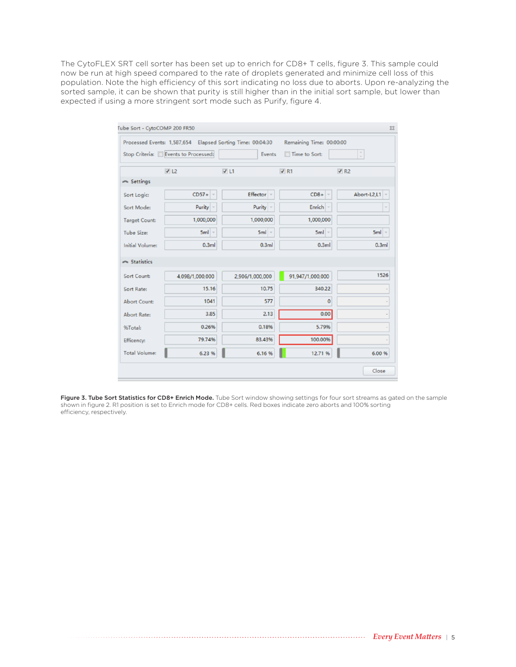The CytoFLEX SRT cell sorter has been set up to enrich for CD8+ T cells, figure 3. This sample could now be run at high speed compared to the rate of droplets generated and minimize cell loss of this population. Note the high efficiency of this sort indicating no loss due to aborts. Upon re-analyzing the sorted sample, it can be shown that purity is still higher than in the initial sort sample, but lower than expected if using a more stringent sort mode such as Purify, figure 4.

|                        | Processed Events: 1,587,654 Elapsed Sorting Time: 00:04:30 |                 | Remaining Time: 00:00:00 |                 |
|------------------------|------------------------------------------------------------|-----------------|--------------------------|-----------------|
|                        | Stop Criteria: Events to Processed:                        | Events          | Time to Sort:            | $\sim$          |
|                        | V12                                                        | V1              | $\nabla$ R1              | $\sqrt{R2}$     |
| Settings               |                                                            |                 |                          |                 |
| Sort Logic:            | $CD57+$                                                    | Effector -      | $CD8+$                   | Abort-L2,L1 $-$ |
| Sort Mode:             | Purity -                                                   | Purity -        | Enrich -                 |                 |
| <b>Target Count:</b>   | 1,000,000                                                  | 1,000,000       | 1,000,000                |                 |
| <b>Tube Size:</b>      | $5ml =$                                                    | $5ml =$         | $5ml =$                  | $5ml =$         |
| <b>Initial Volume:</b> | 0.3ml                                                      | 0.3ml           | 0.3ml                    | 0.3ml           |
|                        |                                                            |                 |                          |                 |
|                        |                                                            |                 |                          |                 |
| Statistics             |                                                            |                 |                          |                 |
| Sort Count:            | 4,098/1,000,000                                            | 2,906/1,000,000 | 91,947/1,000,000         |                 |
| Sort Rate:             | 15.16                                                      | 10.75           | 340.22                   |                 |
| <b>Abort Count:</b>    | 1041                                                       | 577             | $\mathbf 0$              |                 |
| <b>Abort Rate:</b>     | 3.85                                                       | 2.13            | 0.00                     |                 |
| %Total:                | 0.26%                                                      | 0.18%           | 5.79%                    |                 |
| Efficency:             | 79.74%                                                     | 83.43%          | 100.00%                  | 1526            |

Figure 3. Tube Sort Statistics for CD8+ Enrich Mode. Tube Sort window showing settings for four sort streams as gated on the sample shown in figure 2. R1 position is set to Enrich mode for CD8+ cells. Red boxes indicate zero aborts and 100% sorting efficiency, respectively.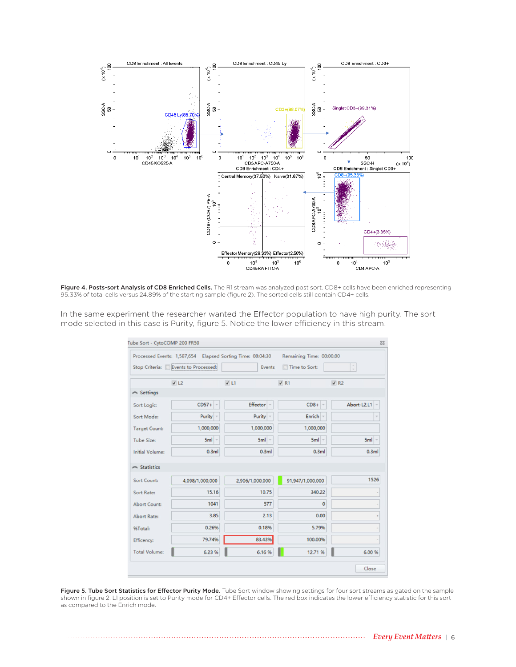

Figure 4. Posts-sort Analysis of CD8 Enriched Cells. The R1 stream was analyzed post sort. CD8+ cells have been enriched representing 95.33% of total cells versus 24.89% of the starting sample (figure 2). The sorted cells still contain CD4+ cells.

In the same experiment the researcher wanted the Effector population to have high purity. The sort mode selected in this case is Purity, figure 5. Notice the lower efficiency in this stream.

|                                                                       | Stop Criteria: Events to Processed: | Processed Events: 1,587,654 Elapsed Sorting Time: 00:04:30<br>Events | Remaining Time: 00:00:00<br>Time to Sort: | $\sim$          |
|-----------------------------------------------------------------------|-------------------------------------|----------------------------------------------------------------------|-------------------------------------------|-----------------|
|                                                                       | V12                                 | V1                                                                   | $V$ R1                                    | $\sqrt{R2}$     |
| Settings                                                              |                                     |                                                                      |                                           |                 |
| Sort Logic:                                                           | $CD57+$                             | Effector                                                             | $CD8+$                                    | Abort-L2,L1 $-$ |
| Sort Mode:                                                            | Purity -                            | Purity -                                                             | Enrich $-$                                | $\sim$          |
| <b>Target Count:</b>                                                  | 1,000,000                           | 1,000,000                                                            | 1,000,000                                 |                 |
| <b>Tube Size:</b>                                                     | $5ml$ -                             | $5ml -$                                                              | $5ml -$                                   | $5ml -$         |
| <b>Initial Volume:</b>                                                | 0.3ml                               | 0.3ml                                                                | 0.3ml                                     | 0.3ml           |
|                                                                       |                                     |                                                                      |                                           |                 |
|                                                                       |                                     |                                                                      |                                           |                 |
|                                                                       | 4,098/1,000,000                     | 2,906/1,000,000                                                      | 91,947/1,000,000                          |                 |
|                                                                       | 15.16                               | 10.75                                                                | 340.22                                    |                 |
| $\sim$ Statistics<br>Sort Count:<br>Sort Rate:<br><b>Abort Count:</b> | 1041                                | 577                                                                  | $\mathbf 0$                               |                 |
|                                                                       | 3.85                                | 2.13                                                                 | 0.00                                      |                 |
| Abort Rate:<br>%Total:                                                | 0.26%                               | 0.18%                                                                | 5.79%                                     |                 |
| Efficency:                                                            | 79.74%                              | 83.43%                                                               | 100.00%                                   | 1526<br>ä,      |

Figure 5. Tube Sort Statistics for Effector Purity Mode. Tube Sort window showing settings for four sort streams as gated on the sample shown in figure 2. L1 position is set to Purity mode for CD4+ Effector cells. The red box indicates the lower efficiency statistic for this sort as compared to the Enrich mode.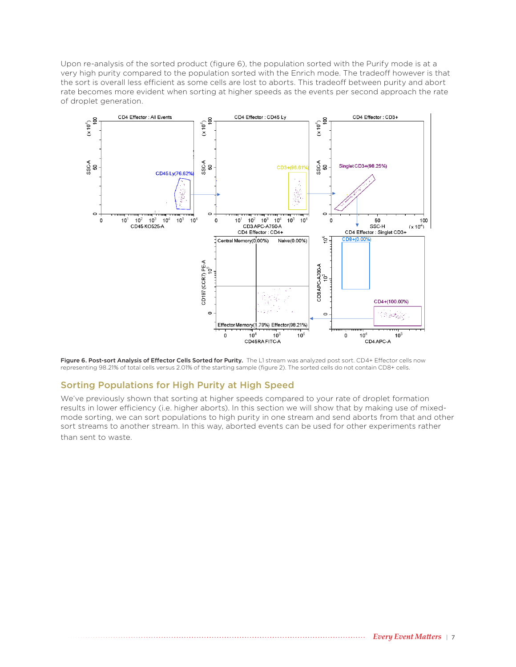Upon re-analysis of the sorted product (figure 6), the population sorted with the Purify mode is at a very high purity compared to the population sorted with the Enrich mode. The tradeoff however is that the sort is overall less efficient as some cells are lost to aborts. This tradeoff between purity and abort rate becomes more evident when sorting at higher speeds as the events per second approach the rate of droplet generation.



Figure 6. Post-sort Analysis of Effector Cells Sorted for Purity. The L1 stream was analyzed post sort. CD4+ Effector cells now representing 98.21% of total cells versus 2.01% of the starting sample (figure 2). The sorted cells do not contain CD8+ cells.

# Sorting Populations for High Purity at High Speed

We've previously shown that sorting at higher speeds compared to your rate of droplet formation results in lower efficiency (i.e. higher aborts). In this section we will show that by making use of mixedmode sorting, we can sort populations to high purity in one stream and send aborts from that and other sort streams to another stream. In this way, aborted events can be used for other experiments rather than sent to waste.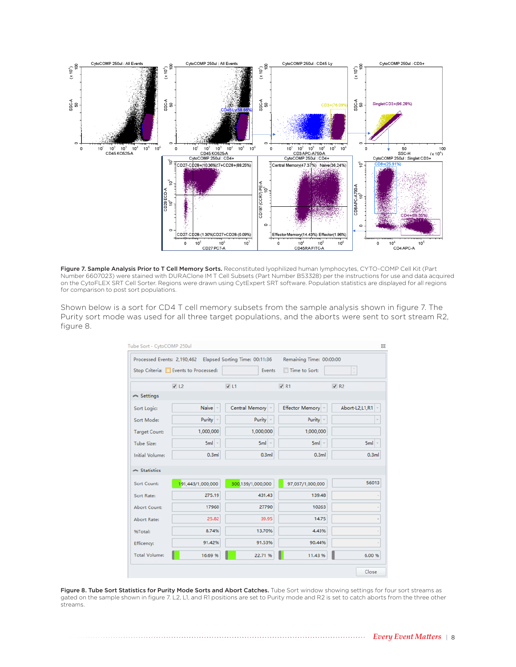

Figure 7. Sample Analysis Prior to T Cell Memory Sorts. Reconstituted lyophilized human lymphocytes, CYTO-COMP Cell Kit (Part Number 6607023) were stained with DURAClone IM T Cell Subsets (Part Number B53328) per the instructions for use and data acquired on the CytoFLEX SRT Cell Sorter. Regions were drawn using CytExpert SRT software. Population statistics are displayed for all regions for comparison to post sort populations.

Shown below is a sort for CD4 T cell memory subsets from the sample analysis shown in figure 7. The Purity sort mode was used for all three target populations, and the aborts were sent to sort stream R2, figure 8.

|                                                  |                                     | Processed Events: 2,190,462 Elapsed Sorting Time: 00:11:36 | Remaining Time: 00:00:00 |                         |
|--------------------------------------------------|-------------------------------------|------------------------------------------------------------|--------------------------|-------------------------|
|                                                  | Stop Criteria: Events to Processed: | Events                                                     | Time to Sort:            |                         |
|                                                  | V12                                 | V1                                                         | $\nabla$ R1              | $\nabla$ R <sub>2</sub> |
| Settings                                         |                                     |                                                            |                          |                         |
| Sort Logic:                                      | Naive                               | Central Memory                                             | Effector Memory          | Abort-L2,L1,R1 -        |
| Sort Mode:                                       | Purity -                            | Purity -                                                   | Purity -                 | $\sim$                  |
| <b>Target Count:</b>                             | 1,000,000                           | 1,000,000                                                  | 1,000,000                |                         |
| <b>Tube Size:</b>                                | $5ml -$                             | $5ml -$                                                    | $5ml -$                  | $5ml -$                 |
| <b>Initial Volume:</b>                           | 0.3ml                               | 0.3ml                                                      | 0.3ml                    | 0.3ml                   |
| Statistics                                       |                                     |                                                            |                          |                         |
|                                                  |                                     |                                                            |                          |                         |
|                                                  |                                     |                                                            |                          |                         |
|                                                  | 191,443/1,000,000                   | 300,139/1,000,000                                          | 97,037/1,000,000         |                         |
|                                                  | 275.19                              | 431.43                                                     | 139.48                   |                         |
| Sort Count:<br>Sort Rate:<br><b>Abort Count:</b> | 17960                               | 27790                                                      | 10263                    |                         |
| Abort Rate:                                      | 25.82                               | 39.95                                                      | 14.75                    |                         |
|                                                  | 8.74%                               | 13.70%                                                     | 4.43%                    |                         |
| 96Total:<br>Efficency:                           | 91.42%                              | 91.53%                                                     | 90.44%                   | 56013                   |

Figure 8. Tube Sort Statistics for Purity Mode Sorts and Abort Catches. Tube Sort window showing settings for four sort streams as gated on the sample shown in figure 7. L2, L1, and R1 positions are set to Purity mode and R2 is set to catch aborts from the three other streams.